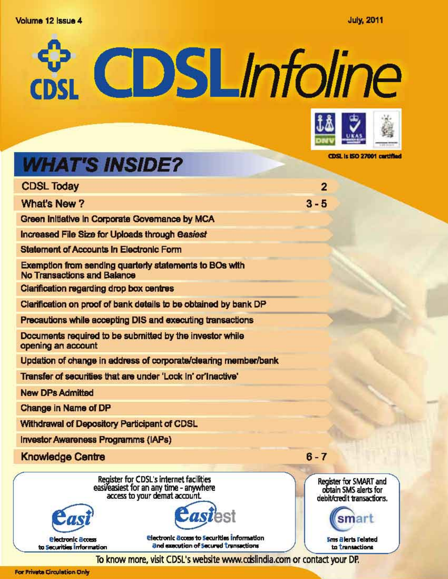# Volume 12 Issue 4





CDSL is ISO 27001 cartified

# **WHAT'S INSIDE?**

| <b>CDSL Today</b>                                                                                                   | $\overline{2}$                           |
|---------------------------------------------------------------------------------------------------------------------|------------------------------------------|
| <b>What's New?</b>                                                                                                  | $3 - 5$                                  |
| Green Initiative in Corporate Governance by MCA                                                                     |                                          |
| Increased File Size for Uploads through Casiest                                                                     |                                          |
| <b>Statement of Accounts In Electronic Form</b>                                                                     |                                          |
| Exemption from sending quarterly statements to BOs with<br><b>No Transactions and Balance</b>                       |                                          |
| Clarification regarding drop box centres                                                                            |                                          |
| Clarification on proof of bank details to be obtained by bank DP                                                    |                                          |
| Precautions while accepting DIS and executing transactions                                                          |                                          |
| Documents required to be submitted by the investor while<br>opening an account                                      |                                          |
| Updation of change in address of corporate/clearing member/bank                                                     |                                          |
| Transfer of securities that are under 'Lock in' or Inactive'                                                        |                                          |
| <b>New DPs Admitted</b>                                                                                             |                                          |
| Change in Name of DP                                                                                                |                                          |
| Withdrawal of Depository Participant of CDSL                                                                        |                                          |
| <b>Investor Awareness Programms (IAPs)</b>                                                                          |                                          |
| <b>Knowledge Centre</b>                                                                                             | $6 - 7$                                  |
| Register for CDSL's internet facilities<br>easi/easiest for an any time - anywhere<br>access to your demat account. | Register fo<br>obtain SI<br>debit/credit |
|                                                                                                                     | ञ                                        |



**Electronic Bccess to Securities information** and execution of Secured Transactions



**Sms Blerts Felated** to transactions

To know more, visit CDSL's website www.cdslindia.com or contact your DP.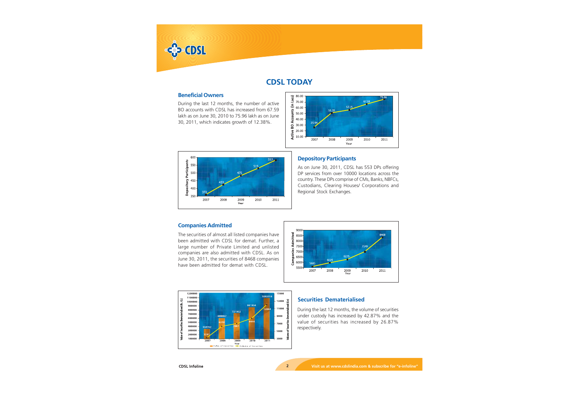

# **CDSL TODAY**

# **Beneficial Owners**

During the last 12 months, the number of active BO accounts with CDSL has increased from 67.59 lakh as on June 30, 2010 to 75.96 lakh as on June 30, 2011, which indicates growth of 12.38%.





# **Depository Participants**

As on June 30, 2011, CDSL has 553 DPs offering DP services from over 10000 locations across the country. These DPs comprise of CMs, Banks, NBFCs, Custodians, Clearing Houses/ Corporations and Regional Stock Exchanges.

# **Companies Admitted**

The securities of almost all listed companies have been admitted with CDSL for demat. Further, a large number of Private Limited and unlisted companies are also admitted with CDSL. As on June 30, 2011, the securities of 8468 companies have been admitted for demat with CDSL.





# **Securities Dematerialised**

During the last 12 months, the volume of securities under custody has increased by 42.87% and the value of securities has increased by 26.87% respectively.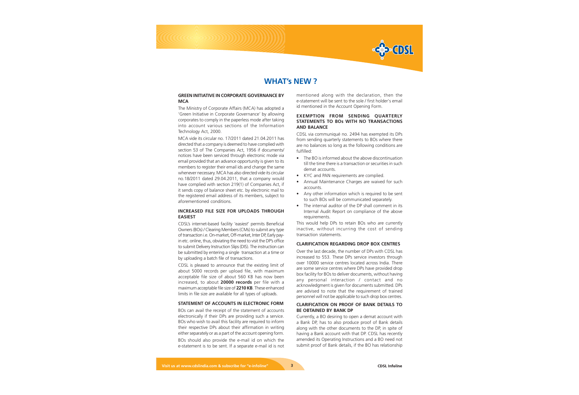

# **WHAT's NEW ?**

# **GREEN INITIATIVE IN CORPORATE GOVERNANCE BY MCA**

The Ministry of Corporate Affairs (MCA) has adopted a 'Green Initiative in Corporate Governance' by allowing corporates to comply in the paperless mode after taking into account various sections of the Information Technology Act, 2000.

MCA vide its circular no. 17/2011 dated 21.04.2011 has directed that a company is deemed to have complied with section 53 of The Companies Act, 1956 if documents/ notices have been serviced through electronic mode via email provided that an advance opportunity is given to its members to register their email ids and change the same whenever necessary. MCA has also directed vide its circular no.18/2011 dated 29.04.2011, that a company would have complied with section 219(1) of Companies Act, if it sends copy of balance sheet etc. by electronic mail to the registered email address of its members, subject to aforementioned conditions.

# **INCREASED FILE SIZE FOR UPLOADS THROUGH EASIEST**

CDSL's internet-based facility 'e*asiest*' permits Beneficial Owners (BOs) / Clearing Members (CMs) to submit any type of transaction i.e. On-market, Off-market, Inter DP, Early payin etc. online, thus, obviating the need to visit the DP's office to submit Delivery Instruction Slips (DIS). The instruction can be submitted by entering a single transaction at a time or by uploading a batch file of transactions.

CDSL is pleased to announce that the existing limit of about 5000 records per upload file, with maximum acceptable file size of about 560 KB has now been increased, to about **20000 records** per file with a maximum acceptable file size of **2210 KB**. These enhanced limits in file size are available for all types of uploads.

# **STATEMENT OF ACCOUNTS IN ELECTRONIC FORM**

BOs can avail the receipt of the statement of accounts electronically if their DPs are providing such a service. BOs who wish to avail this facility are required to inform their respective DPs about their affirmation in writing either separately or as a part of the account opening form.

BOs should also provide the e-mail id on which the e-statement is to be sent. If a separate e-mail id is not mentioned along with the declaration, then the e-statement will be sent to the sole / first holder's email id mentioned in the Account Opening Form.

# **EXEMPTION FROM SENDING QUARTERLY STATEMENTS TO BOs WITH NO TRANSACTIONS AND BALANCE**

CDSL via communiqué no. 2494 has exempted its DPs from sending quarterly statements to BOs where there are no balances so long as the following conditions are fulfilled:

- The BO is informed about the above discontinuation till the time there is a transaction or securities in such demat accounts.
- KYC and PAN requirements are complied.
- Annual Maintenance Charges are waived for such accounts.
- Any other information which is required to be sent to such BOs will be communicated separately.
- The internal auditor of the DP shall comment in its Internal Audit Report on compliance of the above requirements.

This would help DPs to retain BOs who are currently inactive, without incurring the cost of sending transaction statements.

#### **CLARIFICATION REGARDING DROP BOX CENTRES**

Over the last decade, the number of DPs with CDSL has increased to 553. These DPs service investors through over 10000 service centres located across India. There are some service centres where DPs have provided drop box facility for BOs to deliver documents, without having any personal interaction / contact and no acknowledgment is given for documents submitted. DPs are advised to note that the requirement of trained personnel will not be applicable to such drop box centres.

# **CLARIFICATION ON PROOF OF BANK DETAILS TO BE OBTAINED BY BANK DP**

Currently, a BO desiring to open a demat account with a Bank DP, has to also produce proof of Bank details along with the other documents to the DP, in spite of having a Bank account with that DP. CDSL has recently amended its Operating Instructions and a BO need not submit proof of Bank details, if the BO has relationship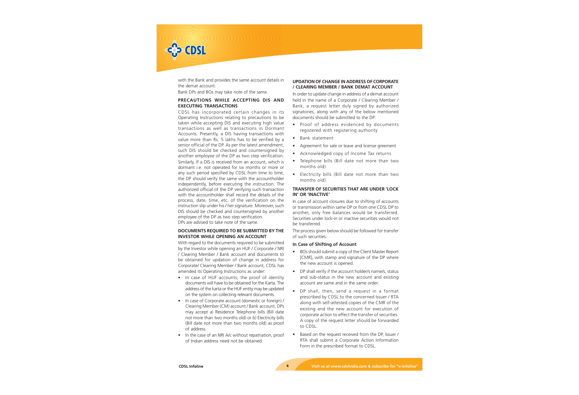

with the Bank and provides the same account details in the demat account.

Bank DPs and BOs may take note of the same.

# **PRECAUTIONS WHILE ACCEPTING DIS AND EXECUTING TRANSACTIONS**

CDSL has incorporated certain changes in its Operating Instructions relating to precautions to be taken while accepting DIS and executing high value transactions as well as transactions in Dormant Accounts. Presently, a DIS having transactions with value more than Rs. 5 lakhs has to be verified by a senior official of the DP. As per the latest amendment, such DIS should be checked and countersigned by another employee of the DP as two step verification. Similarly, If a DIS is received from an account, which is dormant i.e. not operated for six months or more or any such period specified by CDSL from time to time, the DP should verify the same with the accountholder independently, before executing the instruction. The authorized official of the DP verifying such transaction with the accountholder shall record the details of the process, date, time, etc. of the verification on the instruction slip under his / her signature. Moreover, such DIS should be checked and countersigned by another employee of the DP as two step verification. DPs are advised to take note of the same.

# **DOCUMENTS REQUIRED TO BE SUBMITTED BY THE INVESTOR WHILE OPENING AN ACCOUNT**

With regard to the documents required to be submitted by the Investor while opening an HUF / Corporate / NRI / Clearing Member / Bank account and documents to be obtained for updation of change in address for Corporate/ Clearing Member / Bank account, CDSL has amended its Operating Instructions as under:

- In case of HUF accounts, the proof of identity documents will have to be obtained for the Karta. The address of the karta or the HUF entity may be updated on the system on collecting relevant documents.
- In case of Corporate account (domestic or foreign) / Clearing Member (CM) account / Bank account, DPs may accept a) Residence Telephone bills (Bill date not more than two months old) or b) Electricity bills (Bill date not more than two months old) as proof of address.
- In the case of an NRI A/c without repatriation, proof of Indian address need not be obtained.

# **UPDATION OF CHANGE IN ADDRESS OF CORPORATE / CLEARING MEMBER / BANK DEMAT ACCOUNT**

In order to update change in address of a demat account held in the name of a Corporate / Clearing Member / Bank, a request letter duly signed by authorized signatories, along with any of the below mentioned documents should be submitted to the DP:

- Proof of address evidenced by documents registered with registering authority
- Bank statement
- Agreement for sale or leave and license greement
- Acknowledged copy of Income Tax returns
- Telephone bills (Bill date not more than two months old)
- Electricity bills (Bill date not more than two months old)

# **TRANSFER OF SECURITIES THAT ARE UNDER 'LOCK IN' OR 'INACTIVE'**

In case of account closures due to shifting of accounts or transmission within same DP or from one CDSL DP to another, only free balances would be transferred. Securities under lock-in or inactive securities would not be transferred.

The process given below should be followed for transfer of such securities:

# **In Case of Shifting of Account**

- BOs should submit a copy of the Client Master Report [CMR], with stamp and signature of the DP where the new account is opened.
- DP shall verify if the account holder/s name/s, status and sub-status in the new account and existing account are same and in the same order.
- DP shall, then, send a request in a format prescribed by CDSL to the concerned Issuer / RTA along with self-attested copies of the CMR of the existing and the new account for execution of corporate action to effect the transfer of securities. A copy of the request letter should be forwarded to CDSL.
- Based on the request received from the DP, Issuer / RTA shall submit a Corporate Action Information Form in the prescribed format to CDSL.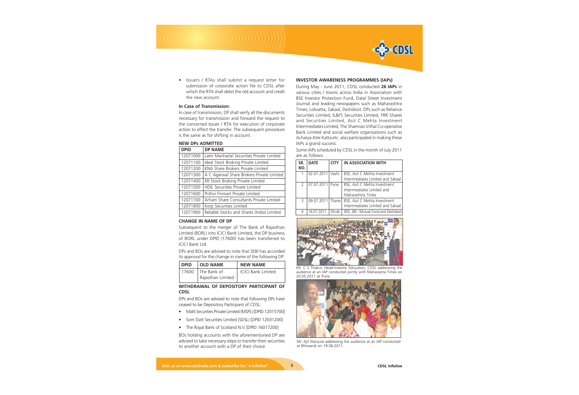

• Issuers / RTAs shall submit a request letter for submission of corporate action file to CDSL after which the RTA shall debit the old account and credit the new account.

#### **In Case of Transmission:**

In case of transmission, DP shall verify all the documents necessary for transmission and forward the request to the concerned Issuer / RTA for execution of corporate action to effect the transfer. The subsequent procedure is the same as for shifting in account.

# **NEW DPs ADMITTED**

| <b>DPID</b> | <b>DP NAME</b>                             |  |  |
|-------------|--------------------------------------------|--|--|
| 12071000    | Latin Manharlal Securities Private Limited |  |  |
| 12071100    | Ideal Stock Broking Private Limited        |  |  |
| 12071200    | KNA Share Brokers Private Limited          |  |  |
| 12071300    | A C Agarwal Share Brokers Private Limited  |  |  |
| 12071400    | MI Stock Broking Private Limited           |  |  |
| 12071500    | HDIL Securities Private Limited            |  |  |
| 12071600    | Prithvi Finmart Private Limited            |  |  |
| 12071700    | Arham Share Consultants Private Limited    |  |  |
| 12071800    | Korp Securities Limited                    |  |  |
| 12071900    | Reliable Stocks and Shares (India) Limited |  |  |

#### **CHANGE IN NAME OF DP**

Subsequent to the merger of The Bank of Rajasthan Limited (BORL) into ICICI Bank Limited, the DP business of BORL under DPID (17600) has been transferred to ICICI Bank Ltd.

DPs and BOs are advised to note that SEBI has accorded its approval for the change in name of the following DP:

| l DPID- | <b>OLD NAME</b>          | <b>NEW NAME</b>           |
|---------|--------------------------|---------------------------|
|         | 17600 $\mid$ The Bank of | <b>ICICI Bank Limited</b> |
|         | Rajasthan Limited        |                           |

#### **WITHDRAWAL OF DEPOSITORY PARTICIPANT OF CDSL**

DPs and BOs are advised to note that following DPs have ceased to be Depository Participant of CDSL:

- Malti Securities Private Limited (MSPL) [DPID 12015700]
- Som Datt Securities Limited (SDSL) [DPID 12031200]
- The Royal Bank of Scotland N.V. [DPID 16017200]

BOs holding accounts with the aforementioned DP are advised to take necessary steps to transfer their securities to another account with a DP of their choice.

#### **INVESTOR AWARENESS PROGRAMMES (IAPs)**

During May - June 2011, CDSL conducted **26 IAPs** in various cities / towns across India in Association with BSE Investor Protection Fund, Dalal Street Investment Journal and leading newspapers such as Maharashtra Times, Loksatta, Sakaal, Deshdoot. DPs such as Reliance Securities Limited, IL&FS Securities Limited, FRR Shares and Securities Limited, Asit C Mehta Investment Interrmediates Limited, The Shamrao Vithal Co-operative Bank Limited and social welfare organisations such as Acharya Atre Katta etc. also participated in making these IAPs a grand success.

Some IAPs scheduled by CDSL in the month of July 2011 are as follows:

| SR.<br>NO.    | <b>DATE</b>        | <b>CITY</b> | IN ASSOCIATION WITH                                                             |
|---------------|--------------------|-------------|---------------------------------------------------------------------------------|
|               | 02.07.2011         | Vashi       | BSE, Asit C Mehta Investment<br>Interrmediates Limited and Sakaal               |
| $\mathcal{P}$ | 07.07.2011         | Pune        | BSE, Asit C Mehta Investment<br>Interrmediates Limited and<br>Maharashtra Times |
| 3             | 09.07.2011   Thane |             | BSE, Asit C Mehta Investment<br>Interrmediates Limited and Sakaal               |
| 4             | 16.07.2011         | Dhule       | BSE, SBI - Mutual Fund and Deshdoot                                             |



Mr. C S Thakur, Head-Investor Education, CDSL addressing the audience at an IAP conducted jointly with Maharastra Times on 20.05.2011 at Pune.



Mr. Ajit Manjure addressing the audience at an IAP conducted at Bhiwandi on 19.06.2011.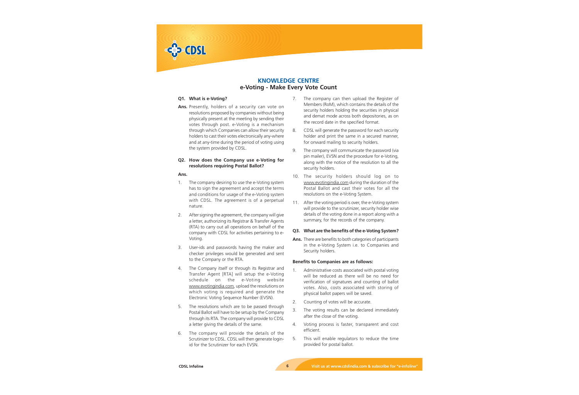

# **KNOWLEDGE CENTRE e-Voting - Make Every Vote Count**

# **Q1. What is e-Voting?**

**Ans.** Presently, holders of a security can vote on resolutions proposed by companies without being physically present at the meeting by sending their votes through post. e-Voting is a mechanism through which Companies can allow their security holders to cast their votes electronically any-where and at any-time during the period of voting using the system provided by CDSL.

# **Q2. How does the Company use e-Voting for resolutions requiring Postal Ballot?**

# **Ans.**

- 1. The company desiring to use the e-Voting system has to sign the agreement and accept the terms and conditions for usage of the e-Voting system with CDSL. The agreement is of a perpetual nature.
- 2. After signing the agreement, the company will give a letter, authorizing its Registrar & Transfer Agents (RTA) to carry out all operations on behalf of the company with CDSL for activities pertaining to e-Voting.
- 3. User-ids and passwords having the maker and checker privileges would be generated and sent to the Company or the RTA.
- 4. The Company itself or through its Registrar and Transfer Agent [RTA] will setup the e-Voting schedule on the e-Voting website www.evotingindia.com, upload the resolutions on which voting is required and generate the Electronic Voting Sequence Number (EVSN).
- 5. The resolutions which are to be passed through Postal Ballot will have to be setup by the Company through its RTA. The company will provide to CDSL a letter giving the details of the same.
- 6. The company will provide the details of the Scrutinizer to CDSL. CDSL will then generate loginid for the Scrutinizer for each EVSN.
- 7. The company can then upload the Register of Members (RoM), which contains the details of the security holders holding the securities in physical and demat mode across both depositories, as on the record date in the specified format.
- 8. CDSL will generate the password for each security holder and print the same in a secured manner, for onward mailing to security holders.
- 9. The company will communicate the password (via pin mailer), EVSN and the procedure for e-Voting, along with the notice of the resolution to all the security holders.
- 10. The security holders should log on to www.evotingindia.com during the duration of the Postal Ballot and cast their votes for all the resolutions on the e-Voting System.
- 11. After the voting period is over, the e-Voting system will provide to the scrutinizer, security holder wise details of the voting done in a report along with a summary, for the records of the company.

# **Q3. What are the benefits of the e-Voting System?**

**Ans.** There are benefits to both categories of participants in the e-Voting System i.e. to Companies and Security holders.

# **Benefits to Companies are as follows:**

- 1. Administrative costs associated with postal voting will be reduced as there will be no need for verification of signatures and counting of ballot votes. Also, costs associated with storing of physical ballot papers will be saved.
- 2. Counting of votes will be accurate.
- 3. The voting results can be declared immediately after the close of the voting.
- 4. Voting process is faster, transparent and cost efficient.
- 5. This will enable regulators to reduce the time provided for postal ballot.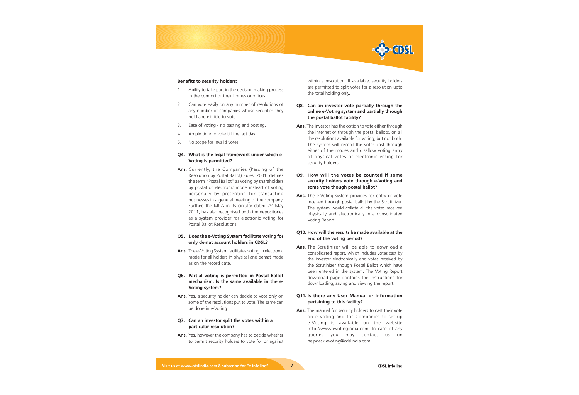

#### **Benefits to security holders:**

- 1. Ability to take part in the decision making process in the comfort of their homes or offices.
- 2. Can vote easily on any number of resolutions of any number of companies whose securities they hold and eligible to vote.
- 3. Ease of voting no pasting and posting.
- 4. Ample time to vote till the last day.
- 5. No scope for invalid votes.

# **Q4. What is the legal framework under which e-Voting is permitted?**

**Ans.** Currently, the Companies (Passing of the Resolution by Postal Ballot) Rules, 2001, defines the term "Postal Ballot" as voting by shareholders by postal or electronic mode instead of voting personally by presenting for transacting businesses in a general meeting of the company. Further, the MCA in its circular dated  $2<sup>nd</sup>$  May 2011, has also recognised both the depositories as a system provider for electronic voting for Postal Ballot Resolutions.

# **Q5. Does the e-Voting System facilitate voting for only demat account holders in CDSL?**

- **Ans.** The e-Voting System facilitates voting in electronic mode for all holders in physical and demat mode as on the record date.
- **Q6. Partial voting is permitted in Postal Ballot mechanism. Is the same available in the e-Voting system?**
- **Ans.** Yes, a security holder can decide to vote only on some of the resolutions put to vote. The same can be done in e-Voting.

# **Q7. Can an investor split the votes within a particular resolution?**

**Ans.** Yes, however the company has to decide whether to permit security holders to vote for or against within a resolution. If available, security holders are permitted to split votes for a resolution upto the total holding only.

# **Q8. Can an investor vote partially through the online e-Voting system and partially through the postal ballot facility?**

**Ans.** The investor has the option to vote either through the internet or through the postal ballots, on all the resolutions available for voting, but not both. The system will record the votes cast through either of the modes and disallow voting entry of physical votes or electronic voting for security holders.

# **Q9. How will the votes be counted if some security holders vote through e-Voting and some vote though postal ballot?**

**Ans.** The e-Voting system provides for entry of vote received through postal ballot by the Scrutinizer. The system would collate all the votes received physically and electronically in a consolidated Voting Report.

# **Q10. How will the results be made available at the end of the voting period?**

**Ans.** The Scrutinizer will be able to download a consolidated report, which includes votes cast by the investor electronically and votes received by the Scrutinizer though Postal Ballot which have been entered in the system. The Voting Report download page contains the instructions for downloading, saving and viewing the report.

# **Q11. Is there any User Manual or information pertaining to this facility?**

**Ans.** The manual for security holders to cast their vote on e-Voting and for Companies to set-up e-Voting is available on the website http://www.evotingindia.com. In case of any queries you may contact us on helpdesk.evoting@cdslindia.com.